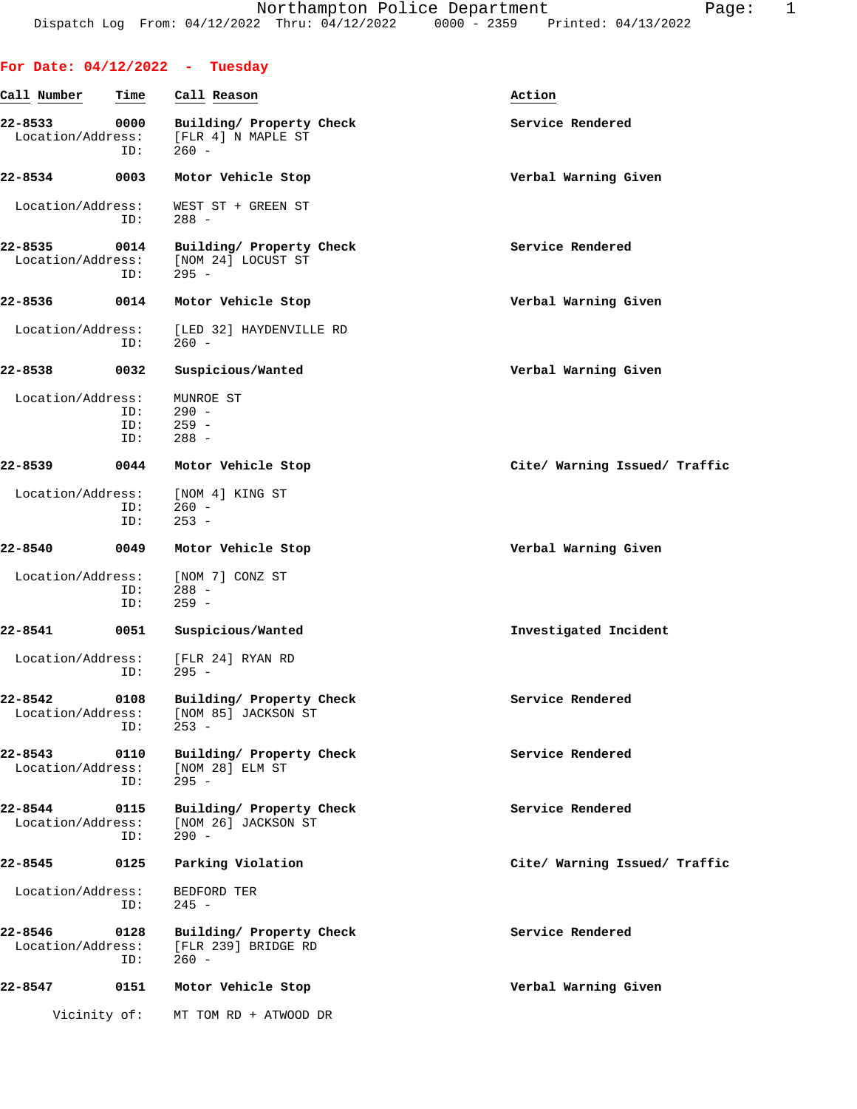|                              |                   | For Date: $04/12/2022 - Tuesday$                           |                               |
|------------------------------|-------------------|------------------------------------------------------------|-------------------------------|
| Call Number                  | Time              | Call Reason                                                | Action                        |
| 22-8533<br>Location/Address: | 0000<br>ID:       | Building/ Property Check<br>[FLR 4] N MAPLE ST<br>$260 -$  | Service Rendered              |
| 22-8534                      | 0003              | Motor Vehicle Stop                                         | Verbal Warning Given          |
| Location/Address:            | ID:               | WEST ST + GREEN ST<br>$288 -$                              |                               |
| 22-8535<br>Location/Address: | 0014<br>ID:       | Building/ Property Check<br>[NOM 24] LOCUST ST<br>$295 -$  | Service Rendered              |
| 22-8536                      | 0014              | Motor Vehicle Stop                                         | Verbal Warning Given          |
| Location/Address:            | ID:               | [LED 32] HAYDENVILLE RD<br>$260 -$                         |                               |
| 22-8538                      | 0032              | Suspicious/Wanted                                          | Verbal Warning Given          |
| Location/Address:            | ID:<br>ID:<br>ID: | MUNROE ST<br>$290 -$<br>$259 -$<br>$288 -$                 |                               |
| 22-8539                      | 0044              | Motor Vehicle Stop                                         | Cite/ Warning Issued/ Traffic |
| Location/Address:            | ID:<br>ID:        | [NOM 4] KING ST<br>$260 -$<br>$253 -$                      |                               |
| 22-8540                      | 0049              | Motor Vehicle Stop                                         | Verbal Warning Given          |
| Location/Address:            | ID:<br>ID:        | [NOM 7] CONZ ST<br>$288 -$<br>$259 -$                      |                               |
| 22-8541                      | 0051              | Suspicious/Wanted                                          | Investigated Incident         |
| Location/Address:            | ID:               | [FLR 24] RYAN RD<br>$295 -$                                |                               |
| 22-8542<br>Location/Address: | 0108<br>ID:       | Building/ Property Check<br>[NOM 85] JACKSON ST<br>$253 -$ | Service Rendered              |
| 22-8543<br>Location/Address: | 0110<br>ID:       | Building/ Property Check<br>[NOM 28] ELM ST<br>$295 -$     | Service Rendered              |
| 22-8544<br>Location/Address: | 0115<br>ID:       | Building/ Property Check<br>[NOM 26] JACKSON ST<br>$290 -$ | Service Rendered              |
| 22-8545                      | 0125              | Parking Violation                                          | Cite/ Warning Issued/ Traffic |
| Location/Address:            | ID:               | BEDFORD TER<br>$245 -$                                     |                               |
| 22-8546<br>Location/Address: | 0128<br>ID:       | Building/ Property Check<br>[FLR 239] BRIDGE RD<br>$260 -$ | Service Rendered              |
| 22-8547                      | 0151              | Motor Vehicle Stop                                         | Verbal Warning Given          |
| Vicinity of:                 |                   | MT TOM RD + ATWOOD DR                                      |                               |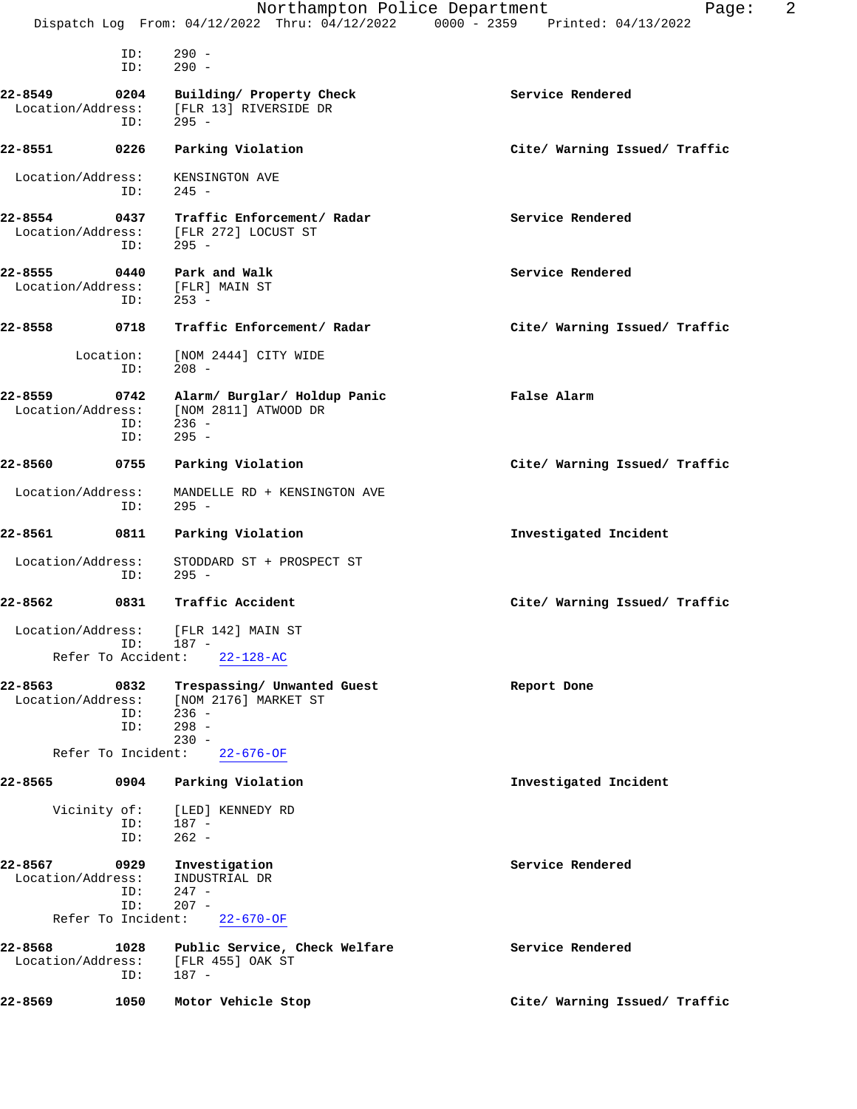|                                                                  | Dispatch Log From: 04/12/2022 Thru: 04/12/2022 0000 - 2359 Printed: 04/13/2022       | Northampton Police Department<br>2<br>Page: |
|------------------------------------------------------------------|--------------------------------------------------------------------------------------|---------------------------------------------|
| ID:<br>ID:                                                       | $290 -$<br>$290 -$                                                                   |                                             |
| 22-8549<br>0204<br>Location/Address:<br>ID:                      | Building/ Property Check<br>[FLR 13] RIVERSIDE DR<br>$295 -$                         | Service Rendered                            |
| 22-8551<br>0226                                                  | Parking Violation                                                                    | Cite/ Warning Issued/ Traffic               |
| Location/Address:<br>ID:                                         | KENSINGTON AVE<br>$245 -$                                                            |                                             |
| 22-8554<br>Location/Address:<br>ID:                              | 0437 Traffic Enforcement/ Radar<br>[FLR 272] LOCUST ST<br>$295 -$                    | Service Rendered                            |
| 22-8555<br>0440<br>Location/Address: [FLR] MAIN ST<br>ID:        | Park and Walk<br>$253 -$                                                             | Service Rendered                            |
| 22-8558<br>0718                                                  | Traffic Enforcement/ Radar                                                           | Cite/ Warning Issued/ Traffic               |
| Location:<br>ID:                                                 | [NOM 2444] CITY WIDE<br>$208 -$                                                      |                                             |
| 22-8559<br>0742<br>Location/Address:<br>ID:<br>ID:               | Alarm/ Burglar/ Holdup Panic<br>[NOM 2811] ATWOOD DR<br>$236 -$<br>$295 -$           | False Alarm                                 |
| 22-8560<br>0755                                                  | Parking Violation                                                                    | Cite/ Warning Issued/ Traffic               |
| Location/Address:<br>ID:                                         | MANDELLE RD + KENSINGTON AVE<br>$295 -$                                              |                                             |
| 22-8561<br>0811                                                  | Parking Violation                                                                    | Investigated Incident                       |
| Location/Address:<br>ID:                                         | STODDARD ST + PROSPECT ST<br>$295 -$                                                 |                                             |
| 22-8562<br>0831                                                  | Traffic Accident                                                                     | Cite/ Warning Issued/ Traffic               |
| Location/Address: [FLR 142] MAIN ST<br>ID:<br>Refer To Accident: | 187 -<br>$22 - 128 - AC$                                                             |                                             |
| 22-8563<br>0832<br>Location/Address:<br>ID:<br>ID:               | Trespassing/ Unwanted Guest<br>[NOM 2176] MARKET ST<br>$236 -$<br>$298 -$<br>$230 -$ | Report Done                                 |
| Refer To Incident:                                               | $22 - 676 - OF$                                                                      |                                             |
| 22-8565<br>0904                                                  | Parking Violation                                                                    | Investigated Incident                       |
| Vicinity of:<br>ID:<br>ID:                                       | [LED] KENNEDY RD<br>187 -<br>$262 -$                                                 |                                             |
| 22-8567<br>0929<br>Location/Address:<br>ID:<br>ID:               | Investigation<br>INDUSTRIAL DR<br>$247 -$<br>$207 -$                                 | Service Rendered                            |
| Refer To Incident:                                               | $22 - 670 - OF$                                                                      |                                             |
| 22-8568<br>1028<br>Location/Address:<br>ID:                      | Public Service, Check Welfare<br>[FLR 455] OAK ST<br>187 -                           | Service Rendered                            |
| 22-8569<br>1050                                                  | Motor Vehicle Stop                                                                   | Cite/ Warning Issued/ Traffic               |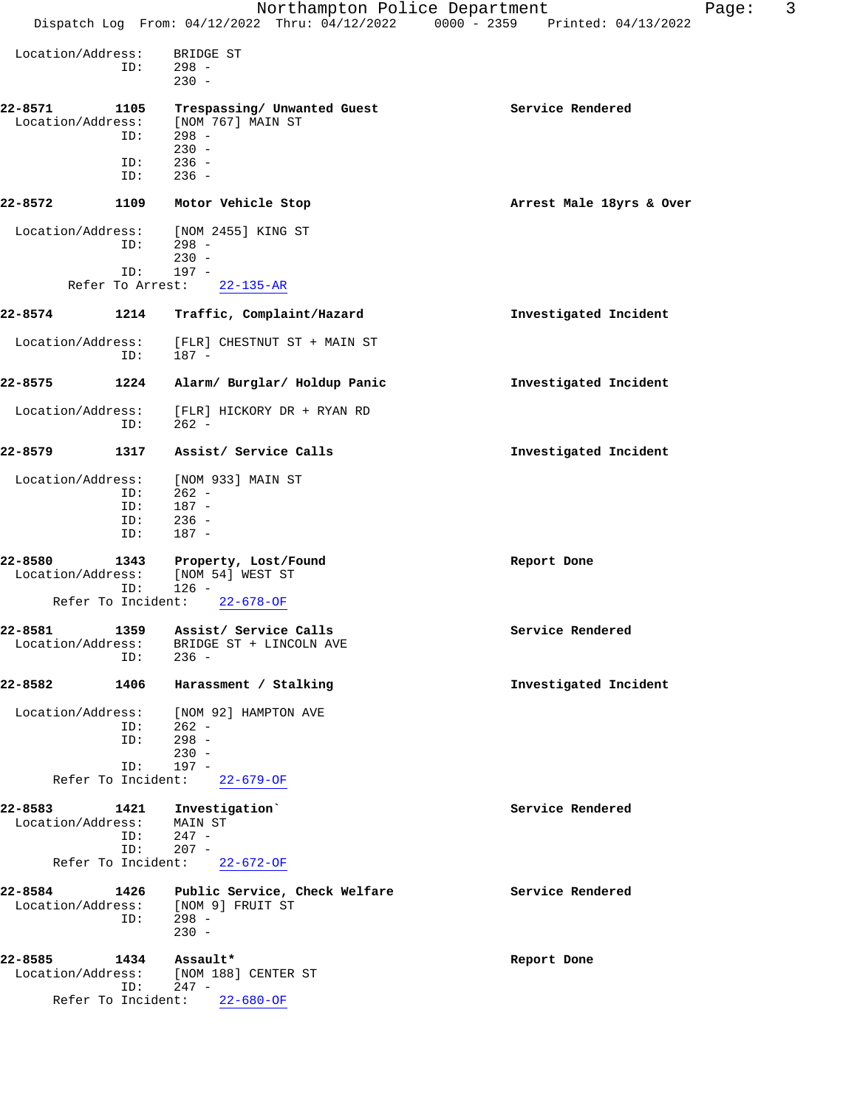|                                      |                          | Northampton Police Department<br>Dispatch Log From: 04/12/2022 Thru: 04/12/2022 0000 - 2359 Printed: 04/13/2022 |                          | Page: | 3 |
|--------------------------------------|--------------------------|-----------------------------------------------------------------------------------------------------------------|--------------------------|-------|---|
| Location/Address:                    | ID:                      | BRIDGE ST<br>$298 -$<br>$230 -$                                                                                 |                          |       |   |
| 22-8571<br>Location/Address:         | 1105<br>ID:              | Trespassing/ Unwanted Guest<br>[NOM 767] MAIN ST<br>$298 -$                                                     | Service Rendered         |       |   |
|                                      | ID:<br>ID:               | $230 -$<br>$236 -$<br>$236 -$                                                                                   |                          |       |   |
| 22-8572                              | 1109                     | Motor Vehicle Stop                                                                                              | Arrest Male 18yrs & Over |       |   |
| Location/Address:                    | ID:                      | [NOM 2455] KING ST<br>$298 -$<br>$230 -$                                                                        |                          |       |   |
|                                      | ID:<br>Refer To Arrest:  | $197 -$<br>$22 - 135 - AR$                                                                                      |                          |       |   |
| 22-8574                              | 1214                     | Traffic, Complaint/Hazard                                                                                       | Investigated Incident    |       |   |
| Location/Address:                    | ID:                      | [FLR] CHESTNUT ST + MAIN ST<br>$187 -$                                                                          |                          |       |   |
| 22-8575                              | 1224                     | Alarm/ Burglar/ Holdup Panic                                                                                    | Investigated Incident    |       |   |
| Location/Address:                    | ID:                      | [FLR] HICKORY DR + RYAN RD<br>$262 -$                                                                           |                          |       |   |
| 22-8579                              | 1317                     | Assist/ Service Calls                                                                                           | Investigated Incident    |       |   |
| Location/Address:                    | ID:<br>ID:<br>ID:<br>ID: | [NOM 933] MAIN ST<br>$262 -$<br>$187 -$<br>$236 -$<br>$187 -$                                                   |                          |       |   |
| 22-8580<br>Location/Address:         | 1343<br>ID:              | Property, Lost/Found<br>[NOM 54] WEST ST<br>$126 -$                                                             | Report Done              |       |   |
| Refer To Incident:                   |                          | $22 - 678 - OF$                                                                                                 |                          |       |   |
| Location/Address:                    | ID:                      | 22-8581 1359 Assist/ Service Calls<br>BRIDGE ST + LINCOLN AVE<br>$236 -$                                        | Service Rendered         |       |   |
| 22-8582                              | 1406                     | Harassment / Stalking                                                                                           | Investigated Incident    |       |   |
| Location/Address:                    | ID:<br>ID:<br>ID:        | [NOM 92] HAMPTON AVE<br>$262 -$<br>$298 -$<br>$230 -$<br>$197 -$                                                |                          |       |   |
|                                      |                          | Refer To Incident: 22-679-OF                                                                                    |                          |       |   |
| 22-8583<br>Location/Address: MAIN ST | ID:<br>ID:               | 1421 Investigation<br>$247 -$<br>$207 -$<br>Refer To Incident: 22-672-OF                                        | Service Rendered         |       |   |
|                                      |                          |                                                                                                                 |                          |       |   |
| 22-8584                              | ID:                      | 1426 Public Service, Check Welfare<br>Location/Address: [NOM 9] FRUIT ST<br>$298 -$<br>$230 -$                  | Service Rendered         |       |   |
| 22-8585<br>Location/Address:         | 1434<br>ID:              | Assault*<br>[NOM 188] CENTER ST<br>247 -                                                                        | Report Done              |       |   |

Refer To Incident: 22-680-OF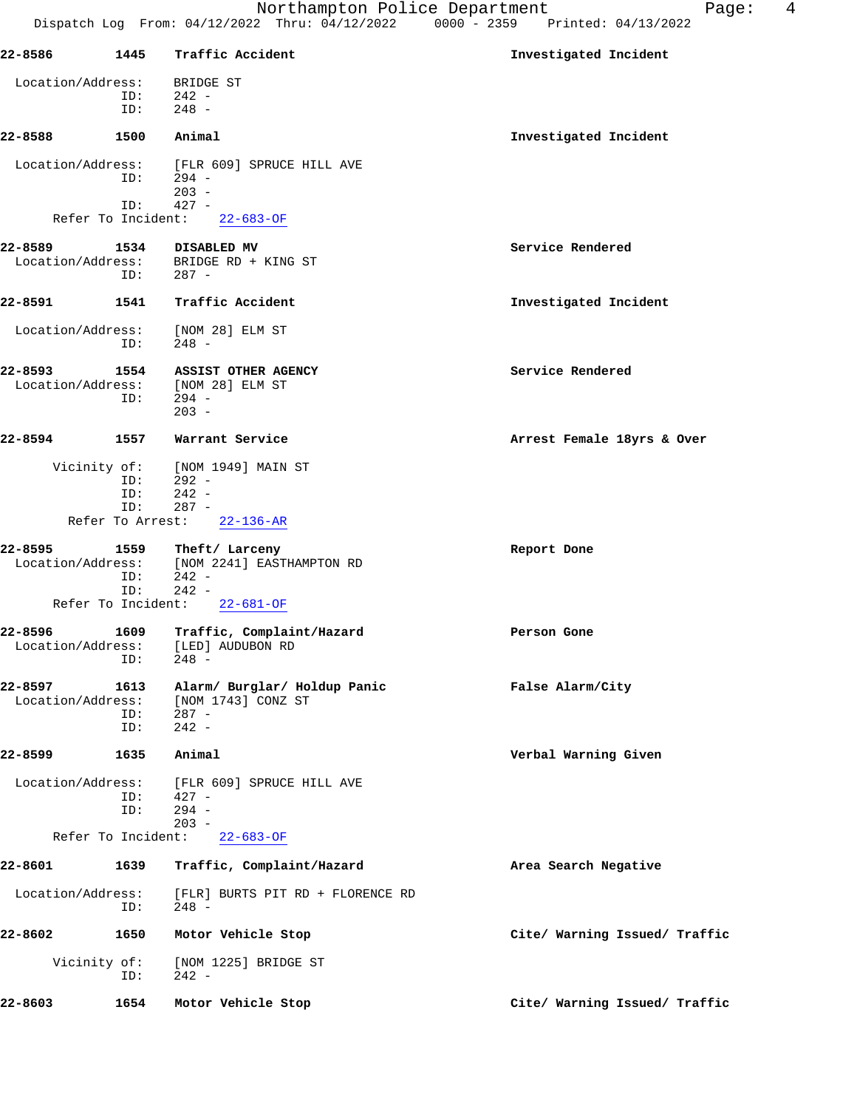| 22-8586            | 1445       | Traffic Accident                                       | Investigated Incident         |
|--------------------|------------|--------------------------------------------------------|-------------------------------|
| Location/Address:  |            | BRIDGE ST                                              |                               |
|                    | ID:        | $242 -$                                                |                               |
|                    | ID:        | $248 -$                                                |                               |
| 22-8588            | 1500       | Animal                                                 | Investigated Incident         |
| Location/Address:  |            | [FLR 609] SPRUCE HILL AVE                              |                               |
|                    | ID:        | 294 -<br>$203 -$                                       |                               |
|                    | ID:        | $427 -$                                                |                               |
|                    |            | Refer To Incident: 22-683-OF                           |                               |
| 22-8589            | 1534       | DISABLED MV                                            | Service Rendered              |
| Location/Address:  |            | BRIDGE RD + KING ST                                    |                               |
|                    | ID:        | $287 -$                                                |                               |
| 22-8591            | 1541       | Traffic Accident                                       | Investigated Incident         |
| Location/Address:  |            | [NOM 28] ELM ST                                        |                               |
|                    | ID:        | 248 -                                                  |                               |
| 22-8593            |            | 1554 ASSIST OTHER AGENCY                               | Service Rendered              |
|                    |            | Location/Address: [NOM 28] ELM ST                      |                               |
|                    | ID:        | 294 -<br>$203 -$                                       |                               |
|                    |            |                                                        |                               |
| 22-8594            | 1557       | Warrant Service                                        | Arrest Female 18yrs & Over    |
| Vicinity of:       |            | [NOM 1949] MAIN ST                                     |                               |
|                    | ID:<br>ID: | - 292 -<br>$242 -$                                     |                               |
|                    | ID:        | $287 -$                                                |                               |
|                    |            | Refer To Arrest: 22-136-AR                             |                               |
| 22-8595            | 1559       | Theft/ Larceny                                         | Report Done                   |
|                    | ID:        | Location/Address: [NOM 2241] EASTHAMPTON RD<br>$242 -$ |                               |
|                    | ID:        | $242 -$                                                |                               |
| Refer To Incident: |            | $22 - 681 - OF$                                        |                               |
| 22-8596            |            | 1609 Traffic, Complaint/Hazard                         | Person Gone                   |
| Location/Address:  |            | [LED] AUDUBON RD                                       |                               |
|                    |            | $ID: 248 -$                                            |                               |
| 22-8597            | 1613       | Alarm/ Burglar/ Holdup Panic                           | False Alarm/City              |
| Location/Address:  | ID:        | [NOM 1743] CONZ ST<br>$287 -$                          |                               |
|                    | ID:        | $242 -$                                                |                               |
| 22-8599            | 1635       | Animal                                                 | Verbal Warning Given          |
|                    |            |                                                        |                               |
| Location/Address:  | ID:        | [FLR 609] SPRUCE HILL AVE<br>$427 -$                   |                               |
|                    | ID:        | $294 -$                                                |                               |
| Refer To Incident: |            | $203 -$<br>$22 - 683 - 0F$                             |                               |
| 22-8601            |            |                                                        |                               |
|                    | 1639       | Traffic, Complaint/Hazard                              | Area Search Negative          |
| Location/Address:  | ID:        | [FLR] BURTS PIT RD + FLORENCE RD<br>$248 -$            |                               |
|                    |            |                                                        |                               |
| 22-8602            | 1650       | Motor Vehicle Stop                                     | Cite/ Warning Issued/ Traffic |
| Vicinity of:       |            | [NOM 1225] BRIDGE ST                                   |                               |
|                    | ID:        | $242 -$                                                |                               |
| 22-8603            | 1654       | Motor Vehicle Stop                                     | Cite/ Warning Issued/ Traffic |
|                    |            |                                                        |                               |